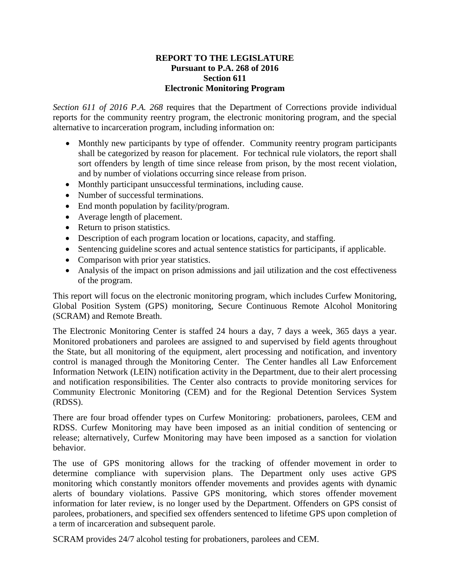## **REPORT TO THE LEGISLATURE Pursuant to P.A. 268 of 2016 Section 611 Electronic Monitoring Program**

*Section 611 of 2016 P.A. 268* requires that the Department of Corrections provide individual reports for the community reentry program, the electronic monitoring program, and the special alternative to incarceration program, including information on:

- Monthly new participants by type of offender. Community reentry program participants shall be categorized by reason for placement. For technical rule violators, the report shall sort offenders by length of time since release from prison, by the most recent violation, and by number of violations occurring since release from prison.
- Monthly participant unsuccessful terminations, including cause.
- Number of successful terminations.
- End month population by facility/program.
- Average length of placement.
- Return to prison statistics.
- Description of each program location or locations, capacity, and staffing.
- Sentencing guideline scores and actual sentence statistics for participants, if applicable.
- Comparison with prior year statistics.
- Analysis of the impact on prison admissions and jail utilization and the cost effectiveness of the program.

This report will focus on the electronic monitoring program, which includes Curfew Monitoring, Global Position System (GPS) monitoring, Secure Continuous Remote Alcohol Monitoring (SCRAM) and Remote Breath.

The Electronic Monitoring Center is staffed 24 hours a day, 7 days a week, 365 days a year. Monitored probationers and parolees are assigned to and supervised by field agents throughout the State, but all monitoring of the equipment, alert processing and notification, and inventory control is managed through the Monitoring Center. The Center handles all Law Enforcement Information Network (LEIN) notification activity in the Department, due to their alert processing and notification responsibilities. The Center also contracts to provide monitoring services for Community Electronic Monitoring (CEM) and for the Regional Detention Services System (RDSS).

There are four broad offender types on Curfew Monitoring: probationers, parolees, CEM and RDSS. Curfew Monitoring may have been imposed as an initial condition of sentencing or release; alternatively, Curfew Monitoring may have been imposed as a sanction for violation behavior.

The use of GPS monitoring allows for the tracking of offender movement in order to determine compliance with supervision plans. The Department only uses active GPS monitoring which constantly monitors offender movements and provides agents with dynamic alerts of boundary violations. Passive GPS monitoring, which stores offender movement information for later review, is no longer used by the Department. Offenders on GPS consist of parolees, probationers, and specified sex offenders sentenced to lifetime GPS upon completion of a term of incarceration and subsequent parole.

SCRAM provides 24/7 alcohol testing for probationers, parolees and CEM.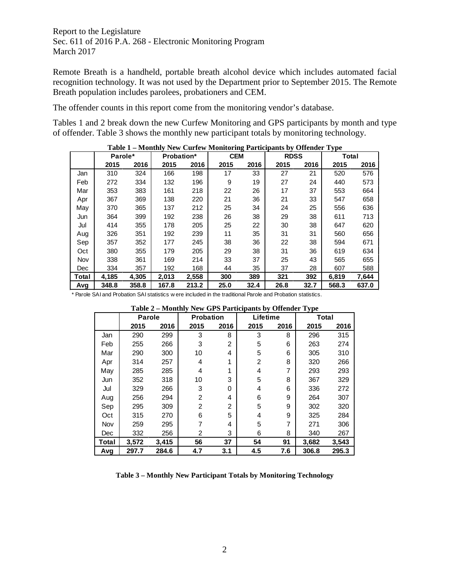Remote Breath is a handheld, portable breath alcohol device which includes automated facial recognition technology. It was not used by the Department prior to September 2015. The Remote Breath population includes parolees, probationers and CEM.

The offender counts in this report come from the monitoring vendor's database.

Tables 1 and 2 break down the new Curfew Monitoring and GPS participants by month and type of offender. Table 3 shows the monthly new participant totals by monitoring technology.

|       | Parole* |       | <b>Probation*</b> |       | <b>CEM</b> |      | <b>RDSS</b> |      | <b>Total</b> |       |
|-------|---------|-------|-------------------|-------|------------|------|-------------|------|--------------|-------|
|       | 2015    | 2016  | 2015              | 2016  | 2015       | 2016 | 2015        | 2016 | 2015         | 2016  |
| Jan   | 310     | 324   | 166               | 198   | 17         | 33   | 27          | 21   | 520          | 576   |
| Feb   | 272     | 334   | 132               | 196   | 9          | 19   | 27          | 24   | 440          | 573   |
| Mar   | 353     | 383   | 161               | 218   | 22         | 26   | 17          | 37   | 553          | 664   |
| Apr   | 367     | 369   | 138               | 220   | 21         | 36   | 21          | 33   | 547          | 658   |
| May   | 370     | 365   | 137               | 212   | 25         | 34   | 24          | 25   | 556          | 636   |
| Jun   | 364     | 399   | 192               | 238   | 26         | 38   | 29          | 38   | 611          | 713   |
| Jul   | 414     | 355   | 178               | 205   | 25         | 22   | 30          | 38   | 647          | 620   |
| Aug   | 326     | 351   | 192               | 239   | 11         | 35   | 31          | 31   | 560          | 656   |
| Sep   | 357     | 352   | 177               | 245   | 38         | 36   | 22          | 38   | 594          | 671   |
| Oct   | 380     | 355   | 179               | 205   | 29         | 38   | 31          | 36   | 619          | 634   |
| Nov   | 338     | 361   | 169               | 214   | 33         | 37   | 25          | 43   | 565          | 655   |
| Dec   | 334     | 357   | 192               | 168   | 44         | 35   | 37          | 28   | 607          | 588   |
| Total | 4,185   | 4,305 | 2.013             | 2,558 | 300        | 389  | 321         | 392  | 6,819        | 7,644 |
| Avg   | 348.8   | 358.8 | 167.8             | 213.2 | 25.0       | 32.4 | 26.8        | 32.7 | 568.3        | 637.0 |

**Table 1 – Monthly New Curfew Monitoring Participants by Offender Type**

\* Parole SAI and Probation SAI statistics w ere included in the traditional Parole and Probation statistics.

|            | Table $2$ – Monthly New GFS Farticipants by Offender Type |       |                  |                |          |      |       |       |  |  |
|------------|-----------------------------------------------------------|-------|------------------|----------------|----------|------|-------|-------|--|--|
|            | <b>Parole</b>                                             |       | <b>Probation</b> |                | Lifetime |      | Total |       |  |  |
|            | 2015                                                      | 2016  | 2015             | 2016           | 2015     | 2016 | 2015  | 2016  |  |  |
| Jan        | 290                                                       | 299   | 3                | 8              | 3        | 8    | 296   | 315   |  |  |
| Feb        | 255                                                       | 266   | 3                | $\overline{2}$ | 5        | 6    | 263   | 274   |  |  |
| Mar        | 290                                                       | 300   | 10               | 4              | 5        | 6    | 305   | 310   |  |  |
| Apr        | 314                                                       | 257   | 4                | 1              | 2        | 8    | 320   | 266   |  |  |
| May        | 285                                                       | 285   | 4                | 1              | 4        | 7    | 293   | 293   |  |  |
| Jun        | 352                                                       | 318   | 10               | 3              | 5        | 8    | 367   | 329   |  |  |
| Jul        | 329                                                       | 266   | 3                | 0              | 4        | 6    | 336   | 272   |  |  |
| Aug        | 256                                                       | 294   | $\overline{2}$   | 4              | 6        | 9    | 264   | 307   |  |  |
| Sep        | 295                                                       | 309   | $\overline{2}$   | $\overline{2}$ | 5        | 9    | 302   | 320   |  |  |
| Oct        | 315                                                       | 270   | 6                | 5              | 4        | 9    | 325   | 284   |  |  |
| Nov        | 259                                                       | 295   | 7                | 4              | 5        | 7    | 271   | 306   |  |  |
| <b>Dec</b> | 332                                                       | 256   | 2                | 3              | 6        | 8    | 340   | 267   |  |  |
| Total      | 3,572                                                     | 3,415 | 56               | 37             | 54       | 91   | 3,682 | 3,543 |  |  |
| Avg        | 297.7                                                     | 284.6 | 4.7              | 3.1            | 4.5      | 7.6  | 306.8 | 295.3 |  |  |

**Table 2 – Monthly New GPS Participants by Offender Type**

**Table 3 – Monthly New Participant Totals by Monitoring Technology**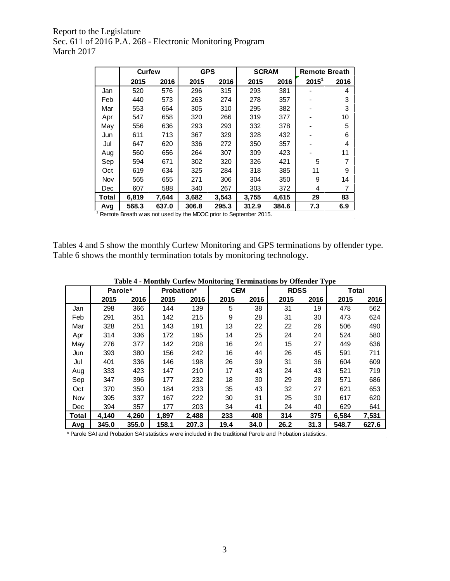|       | <b>Curfew</b>                                                    |       | <b>GPS</b> |       | <b>SCRAM</b> |       | <b>Remote Breath</b> |      |
|-------|------------------------------------------------------------------|-------|------------|-------|--------------|-------|----------------------|------|
|       | 2015                                                             | 2016  | 2015       | 2016  | 2015         | 2016  | 2015 <sup>1</sup>    | 2016 |
| Jan   | 520                                                              | 576   | 296        | 315   | 293          | 381   |                      | 4    |
| Feb   | 440                                                              | 573   | 263        | 274   | 278          | 357   |                      | 3    |
| Mar   | 553                                                              | 664   | 305        | 310   | 295          | 382   |                      | 3    |
| Apr   | 547                                                              | 658   | 320        | 266   | 319          | 377   |                      | 10   |
| May   | 556                                                              | 636   | 293        | 293   | 332          | 378   |                      | 5    |
| Jun   | 611                                                              | 713   | 367        | 329   | 328          | 432   |                      | 6    |
| Jul   | 647                                                              | 620   | 336        | 272   | 350          | 357   |                      | 4    |
| Aug   | 560                                                              | 656   | 264        | 307   | 309          | 423   |                      | 11   |
| Sep   | 594                                                              | 671   | 302        | 320   | 326          | 421   | 5                    |      |
| Oct   | 619                                                              | 634   | 325        | 284   | 318          | 385   | 11                   | 9    |
| Nov   | 565                                                              | 655   | 271        | 306   | 304          | 350   | 9                    | 14   |
| Dec   | 607                                                              | 588   | 340        | 267   | 303          | 372   | 4                    | 7    |
| Total | 6,819                                                            | 7,644 | 3,682      | 3.543 | 3,755        | 4,615 | 29                   | 83   |
| Avg   | 568.3                                                            | 637.0 | 306.8      | 295.3 | 312.9        | 384.6 | 7.3                  | 6.9  |
|       | Remote Breath w as not used by the MDOC prior to September 2015. |       |            |       |              |       |                      |      |

Tables 4 and 5 show the monthly Curfew Monitoring and GPS terminations by offender type. Table 6 shows the monthly termination totals by monitoring technology.

|            | Parole* |       | <b>Probation*</b> |       | <b>CEM</b> |      | <b>RDSS</b> |      | Total |       |
|------------|---------|-------|-------------------|-------|------------|------|-------------|------|-------|-------|
|            | 2015    | 2016  | 2015              | 2016  | 2015       | 2016 | 2015        | 2016 | 2015  | 2016  |
| Jan        | 298     | 366   | 144               | 139   | 5          | 38   | 31          | 19   | 478   | 562   |
| Feb        | 291     | 351   | 142               | 215   | 9          | 28   | 31          | 30   | 473   | 624   |
| Mar        | 328     | 251   | 143               | 191   | 13         | 22   | 22          | 26   | 506   | 490   |
| Apr        | 314     | 336   | 172               | 195   | 14         | 25   | 24          | 24   | 524   | 580   |
| May        | 276     | 377   | 142               | 208   | 16         | 24   | 15          | 27   | 449   | 636   |
| Jun        | 393     | 380   | 156               | 242   | 16         | 44   | 26          | 45   | 591   | 711   |
| Jul        | 401     | 336   | 146               | 198   | 26         | 39   | 31          | 36   | 604   | 609   |
| Aug        | 333     | 423   | 147               | 210   | 17         | 43   | 24          | 43   | 521   | 719   |
| Sep        | 347     | 396   | 177               | 232   | 18         | 30   | 29          | 28   | 571   | 686   |
| Oct        | 370     | 350   | 184               | 233   | 35         | 43   | 32          | 27   | 621   | 653   |
| <b>Nov</b> | 395     | 337   | 167               | 222   | 30         | 31   | 25          | 30   | 617   | 620   |
| Dec        | 394     | 357   | 177               | 203   | 34         | 41   | 24          | 40   | 629   | 641   |
| Total      | 4.140   | 4,260 | 1.897             | 2,488 | 233        | 408  | 314         | 375  | 6,584 | 7,531 |
| Avg        | 345.0   | 355.0 | 158.1             | 207.3 | 19.4       | 34.0 | 26.2        | 31.3 | 548.7 | 627.6 |

\* Parole SAI and Probation SAI statistics w ere included in the traditional Parole and Probation statistics.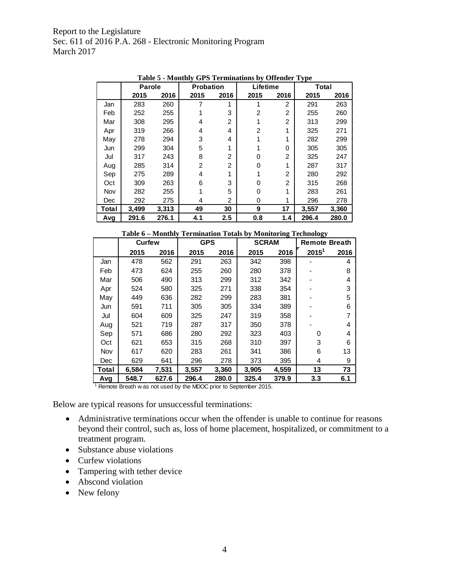|            | <b>Parole</b> |       | <b>Probation</b> |                | Lifetime       |                | $\sim$ $\sim$<br>Total |       |
|------------|---------------|-------|------------------|----------------|----------------|----------------|------------------------|-------|
|            | 2015          | 2016  | 2015             | 2016           | 2015           | 2016           | 2015                   | 2016  |
| Jan        | 283           | 260   | 7                | 1              |                | 2              | 291                    | 263   |
| Feb        | 252           | 255   |                  | 3              | $\overline{2}$ | $\overline{c}$ | 255                    | 260   |
| Mar        | 308           | 295   | 4                | 2              |                | $\overline{2}$ | 313                    | 299   |
| Apr        | 319           | 266   | 4                | 4              | 2              | 1              | 325                    | 271   |
| May        | 278           | 294   | 3                | 4              |                | 1              | 282                    | 299   |
| Jun        | 299           | 304   | 5                | 1              |                | 0              | 305                    | 305   |
| Jul        | 317           | 243   | 8                | $\overline{2}$ | 0              | $\overline{2}$ | 325                    | 247   |
| Aug        | 285           | 314   | 2                | 2              | O              | 1              | 287                    | 317   |
| Sep        | 275           | 289   | 4                | 1              |                | $\overline{2}$ | 280                    | 292   |
| Oct        | 309           | 263   | 6                | 3              | 0              | 2              | 315                    | 268   |
| Nov        | 282           | 255   |                  | 5              | 0              | 1              | 283                    | 261   |
| <b>Dec</b> | 292           | 275   | 4                | 2              | 0              | 1              | 296                    | 278   |
| Total      | 3,499         | 3,313 | 49               | 30             | 9              | 17             | 3,557                  | 3,360 |
| Avg        | 291.6         | 276.1 | 4.1              | 2.5            | 0.8            | 1.4            | 296.4                  | 280.0 |

**Table 5 - Monthly GPS Terminations by Offender Type**

|       |                                                                  | Table 6 - Monthly Termination Totals by Monitoring Technology |            |       |              |       |                      |      |  |  |  |  |
|-------|------------------------------------------------------------------|---------------------------------------------------------------|------------|-------|--------------|-------|----------------------|------|--|--|--|--|
|       | <b>Curfew</b>                                                    |                                                               | <b>GPS</b> |       | <b>SCRAM</b> |       | <b>Remote Breath</b> |      |  |  |  |  |
|       | 2015                                                             | 2016                                                          | 2015       | 2016  | 2015         | 2016  | $2015^1$             | 2016 |  |  |  |  |
| Jan   | 478                                                              | 562                                                           | 291        | 263   | 342          | 398   |                      | 4    |  |  |  |  |
| Feb   | 473                                                              | 624                                                           | 255        | 260   | 280          | 378   |                      | 8    |  |  |  |  |
| Mar   | 506                                                              | 490                                                           | 313        | 299   | 312          | 342   |                      | 4    |  |  |  |  |
| Apr   | 524                                                              | 580                                                           | 325        | 271   | 338          | 354   |                      | 3    |  |  |  |  |
| May   | 449                                                              | 636                                                           | 282        | 299   | 283          | 381   |                      | 5    |  |  |  |  |
| Jun   | 591                                                              | 711                                                           | 305        | 305   | 334          | 389   |                      | 6    |  |  |  |  |
| Jul   | 604                                                              | 609                                                           | 325        | 247   | 319          | 358   |                      | 7    |  |  |  |  |
| Aug   | 521                                                              | 719                                                           | 287        | 317   | 350          | 378   |                      | 4    |  |  |  |  |
| Sep   | 571                                                              | 686                                                           | 280        | 292   | 323          | 403   | 0                    | 4    |  |  |  |  |
| Oct   | 621                                                              | 653                                                           | 315        | 268   | 310          | 397   | 3                    | 6    |  |  |  |  |
| Nov   | 617                                                              | 620                                                           | 283        | 261   | 341          | 386   | 6                    | 13   |  |  |  |  |
| Dec   | 629                                                              | 641                                                           | 296        | 278   | 373          | 395   | 4                    | 9    |  |  |  |  |
| Total | 6,584                                                            | 7,531                                                         | 3,557      | 3,360 | 3,905        | 4,559 | 13                   | 73   |  |  |  |  |
| Avg   | 548.7                                                            | 627.6                                                         | 296.4      | 280.0 | 325.4        | 379.9 | 3.3                  | 6.1  |  |  |  |  |
|       | Remote Breath w as not used by the MDOC prior to September 2015. |                                                               |            |       |              |       |                      |      |  |  |  |  |

Below are typical reasons for unsuccessful terminations:

- Administrative terminations occur when the offender is unable to continue for reasons beyond their control, such as, loss of home placement, hospitalized, or commitment to a treatment program.
- Substance abuse violations
- Curfew violations
- Tampering with tether device
- Abscond violation
- New felony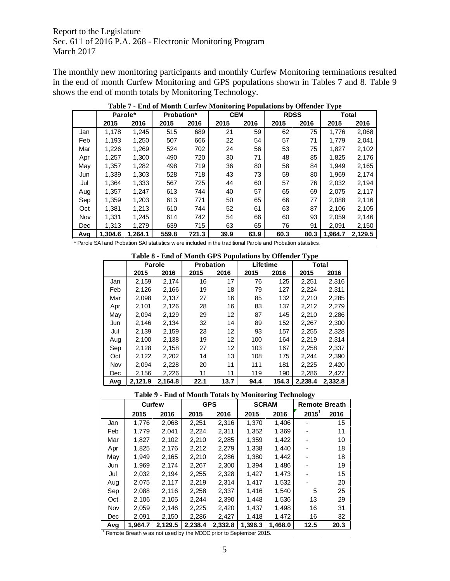The monthly new monitoring participants and monthly Curfew Monitoring terminations resulted in the end of month Curfew Monitoring and GPS populations shown in Tables 7 and 8. Table 9 shows the end of month totals by Monitoring Technology.

|     | Parole* |         | <b>Probation*</b> |       |      | <b>CEM</b> |      | <b>RDSS</b> | Total   |         |
|-----|---------|---------|-------------------|-------|------|------------|------|-------------|---------|---------|
|     | 2015    | 2016    | 2015              | 2016  | 2015 | 2016       | 2015 | 2016        | 2015    | 2016    |
| Jan | 1,178   | 1,245   | 515               | 689   | 21   | 59         | 62   | 75          | 1,776   | 2,068   |
| Feb | 1,193   | 1,250   | 507               | 666   | 22   | 54         | 57   | 71          | 1,779   | 2,041   |
| Mar | 1,226   | 1,269   | 524               | 702   | 24   | 56         | 53   | 75          | 1,827   | 2,102   |
| Apr | 1,257   | 1,300   | 490               | 720   | 30   | 71         | 48   | 85          | 1,825   | 2,176   |
| May | 1,357   | 1,282   | 498               | 719   | 36   | 80         | 58   | 84          | 1,949   | 2,165   |
| Jun | 1,339   | 1,303   | 528               | 718   | 43   | 73         | 59   | 80          | 1,969   | 2,174   |
| Jul | 1.364   | 1.333   | 567               | 725   | 44   | 60         | 57   | 76          | 2,032   | 2,194   |
| Aug | 1,357   | 1,247   | 613               | 744   | 40   | 57         | 65   | 69          | 2,075   | 2,117   |
| Sep | 1.359   | 1,203   | 613               | 771   | 50   | 65         | 66   | 77          | 2,088   | 2,116   |
| Oct | 1,381   | 1,213   | 610               | 744   | 52   | 61         | 63   | 87          | 2,106   | 2,105   |
| Nov | 1.331   | 1.245   | 614               | 742   | 54   | 66         | 60   | 93          | 2.059   | 2,146   |
| Dec | 1.313   | 1.279   | 639               | 715   | 63   | 65         | 76   | 91          | 2,091   | 2,150   |
| Avg | 1.304.6 | 1.264.1 | 559.8             | 721.3 | 39.9 | 63.9       | 60.3 | 80.3        | 1.964.7 | 2,129.5 |

**Table 7 - End of Month Curfew Monitoring Populations by Offender Type**

\* Parole SAI and Probation SAI statistics w ere included in the traditional Parole and Probation statistics.

|  |  |  |  | Table 8 - End of Month GPS Populations by Offender Type |
|--|--|--|--|---------------------------------------------------------|
|--|--|--|--|---------------------------------------------------------|

|     | <b>Parole</b> |         | <b>Probation</b> |      | Lifetime |       | Total   |         |
|-----|---------------|---------|------------------|------|----------|-------|---------|---------|
|     | 2015          | 2016    | 2015             | 2016 | 2015     | 2016  | 2015    | 2016    |
| Jan | 2.159         | 2,174   | 16               | 17   | 76       | 125   | 2,251   | 2,316   |
| Feb | 2,126         | 2,166   | 19               | 18   | 79       | 127   | 2,224   | 2,311   |
| Mar | 2,098         | 2,137   | 27               | 16   | 85       | 132   | 2,210   | 2,285   |
| Apr | 2,101         | 2,126   | 28               | 16   | 83       | 137   | 2,212   | 2,279   |
| May | 2,094         | 2,129   | 29               | 12   | 87       | 145   | 2,210   | 2,286   |
| Jun | 2.146         | 2,134   | 32               | 14   | 89       | 152   | 2,267   | 2,300   |
| Jul | 2.139         | 2,159   | 23               | 12   | 93       | 157   | 2,255   | 2,328   |
| Aug | 2.100         | 2,138   | 19               | 12   | 100      | 164   | 2,219   | 2,314   |
| Sep | 2,128         | 2,158   | 27               | 12   | 103      | 167   | 2,258   | 2,337   |
| Oct | 2.122         | 2.202   | 14               | 13   | 108      | 175   | 2,244   | 2,390   |
| Nov | 2.094         | 2.228   | 20               | 11   | 111      | 181   | 2,225   | 2,420   |
| Dec | 2,156         | 2,226   | 11               | 11   | 119      | 190   | 2,286   | 2,427   |
| Avg | 2.121.9       | 2,164.8 | 22.1             | 13.7 | 94.4     | 154.3 | 2.238.4 | 2,332.8 |

## **Table 9 - End of Month Totals by Monitoring Technology**

|     |         | <b>Curfew</b> |         | <b>GPS</b> | <b>SCRAM</b> |         | <b>Remote Breath</b> |      |
|-----|---------|---------------|---------|------------|--------------|---------|----------------------|------|
|     | 2015    | 2016          | 2015    | 2016       | 2015         | 2016    | $2015^1$             | 2016 |
| Jan | 1.776   | 2,068         | 2,251   | 2,316      | 1,370        | 1,406   |                      | 15   |
| Feb | 1,779   | 2,041         | 2,224   | 2,311      | 1,352        | 1,369   |                      | 11   |
| Mar | 1,827   | 2,102         | 2,210   | 2,285      | 1,359        | 1,422   |                      | 10   |
| Apr | 1.825   | 2,176         | 2,212   | 2,279      | 1,338        | 1.440   |                      | 18   |
| May | 1,949   | 2,165         | 2,210   | 2,286      | 1,380        | 1,442   |                      | 18   |
| Jun | 1.969   | 2.174         | 2,267   | 2,300      | 1.394        | 1,486   |                      | 19   |
| Jul | 2,032   | 2,194         | 2,255   | 2,328      | 1,427        | 1,473   |                      | 15   |
| Aug | 2.075   | 2,117         | 2,219   | 2,314      | 1.417        | 1,532   |                      | 20   |
| Sep | 2,088   | 2,116         | 2,258   | 2,337      | 1,416        | 1,540   | 5                    | 25   |
| Oct | 2,106   | 2,105         | 2,244   | 2,390      | 1,448        | 1,536   | 13                   | 29   |
| Nov | 2,059   | 2,146         | 2,225   | 2.420      | 1,437        | 1,498   | 16                   | 31   |
| Dec | 2,091   | 2,150         | 2,286   | 2,427      | 1,418        | 1,472   | 16                   | 32   |
| Avg | 1.964.7 | 2.129.5       | 2,238.4 | 2.332.8    | 1.396.3      | 1.468.0 | 12.5                 | 20.3 |

<sup>1</sup> Remote Breath w as not used by the MDOC prior to September 2015.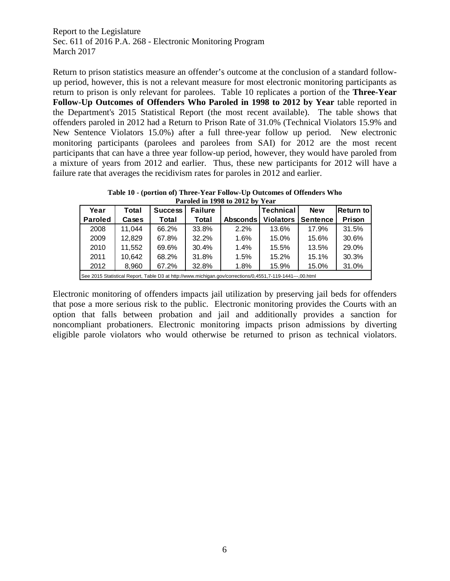Return to prison statistics measure an offender's outcome at the conclusion of a standard followup period, however, this is not a relevant measure for most electronic monitoring participants as return to prison is only relevant for parolees. Table 10 replicates a portion of the **Three-Year Follow-Up Outcomes of Offenders Who Paroled in 1998 to 2012 by Year** table reported in the Department's 2015 Statistical Report (the most recent available). The table shows that offenders paroled in 2012 had a Return to Prison Rate of 31.0% (Technical Violators 15.9% and New Sentence Violators 15.0%) after a full three-year follow up period. New electronic monitoring participants (parolees and parolees from SAI) for 2012 are the most recent participants that can have a three year follow-up period, however, they would have paroled from a mixture of years from 2012 and earlier. Thus, these new participants for 2012 will have a failure rate that averages the recidivism rates for paroles in 2012 and earlier.

**Table 10 - (portion of) Three-Year Follow-Up Outcomes of Offenders Who Paroled in 1998 to 2012 by Year**

|                | $1.41$ orcal in 1990 to 2012 by Team                       |                |                |                                                                                                           |                  |                 |                  |  |  |  |  |  |
|----------------|------------------------------------------------------------|----------------|----------------|-----------------------------------------------------------------------------------------------------------|------------------|-----------------|------------------|--|--|--|--|--|
| Year           | Total                                                      | <b>Success</b> | <b>Failure</b> |                                                                                                           | <b>Technical</b> | <b>New</b>      | <b>Return to</b> |  |  |  |  |  |
| <b>Paroled</b> | Cases                                                      | Total          | Total          | <b>Absconds</b>                                                                                           | <b>Violators</b> | <b>Sentence</b> | Prison           |  |  |  |  |  |
| 2008           | 11.044                                                     | 66.2%          | 33.8%          | 2.2%                                                                                                      | 13.6%            | 17.9%           | 31.5%            |  |  |  |  |  |
| 2009           | 12,829                                                     | 67.8%          | 32.2%          | 1.6%                                                                                                      | 15.0%            | 15.6%           | 30.6%            |  |  |  |  |  |
| 2010           | 11.552                                                     | 69.6%          | 30.4%          | 1.4%                                                                                                      | 15.5%            | 13.5%           | 29.0%            |  |  |  |  |  |
| 2011           | 10.642                                                     | 68.2%          | 31.8%          | 1.5%                                                                                                      | 15.2%            | 15.1%           | 30.3%            |  |  |  |  |  |
| 2012           | 31.0%<br>32.8%<br>67.2%<br>8,960<br>1.8%<br>15.9%<br>15.0% |                |                |                                                                                                           |                  |                 |                  |  |  |  |  |  |
|                |                                                            |                |                | See 2015 Statistical Report, Table D3 at http://www.michigan.gov/corrections/0,4551,7-119-1441---,00.html |                  |                 |                  |  |  |  |  |  |

Electronic monitoring of offenders impacts jail utilization by preserving jail beds for offenders that pose a more serious risk to the public. Electronic monitoring provides the Courts with an option that falls between probation and jail and additionally provides a sanction for noncompliant probationers. Electronic monitoring impacts prison admissions by diverting eligible parole violators who would otherwise be returned to prison as technical violators.